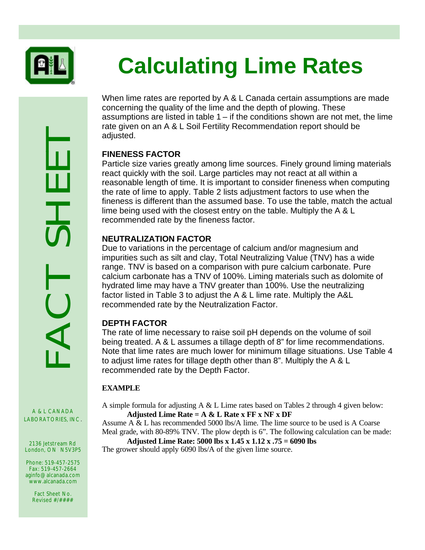

# **Calculating Lime Rates**

When lime rates are reported by A & L Canada certain assumptions are made concerning the quality of the lime and the depth of plowing. These assumptions are listed in table 1 – if the conditions shown are not met, the lime rate given on an A & L Soil Fertility Recommendation report should be adjusted.

# **FINENESS FACTOR**

Particle size varies greatly among lime sources. Finely ground liming materials react quickly with the soil. Large particles may not react at all within a reasonable length of time. It is important to consider fineness when computing the rate of lime to apply. Table 2 lists adjustment factors to use when the fineness is different than the assumed base. To use the table, match the actual lime being used with the closest entry on the table. Multiply the A & L recommended rate by the fineness factor.

# **NEUTRALIZATION FACTOR**

Due to variations in the percentage of calcium and/or magnesium and impurities such as silt and clay, Total Neutralizing Value (TNV) has a wide range. TNV is based on a comparison with pure calcium carbonate. Pure calcium carbonate has a TNV of 100%. Liming materials such as dolomite of hydrated lime may have a TNV greater than 100%. Use the neutralizing factor listed in Table 3 to adjust the A & L lime rate. Multiply the A&L recommended rate by the Neutralization Factor.

# **DEPTH FACTOR**

The rate of lime necessary to raise soil pH depends on the volume of soil being treated. A & L assumes a tillage depth of 8" for lime recommendations. Note that lime rates are much lower for minimum tillage situations. Use Table 4 to adjust lime rates for tillage depth other than 8". Multiply the A & L recommended rate by the Depth Factor.

#### **EXAMPLE**

A simple formula for adjusting A & L Lime rates based on Tables 2 through 4 given below: **Adjusted Lime Rate = A & L Rate x FF x NF x DF**

Assume A & L has recommended 5000 lbs/A lime. The lime source to be used is A Coarse Meal grade, with 80-89% TNV. The plow depth is 6". The following calculation can be made:

#### **Adjusted Lime Rate: 5000 lbs x 1.45 x 1.12 x .75 = 6090 lbs** The grower should apply 6090 lbs/A of the given lime source.

RACTORIES, INC.

A & L CANADA

2136 Jetstream Rd London, ON N5V3P5

Phone: 519-457-2575 Fax: 519-457-2664 aginfo@alcanada.com www.alcanada.com

> Fact Sheet No. Revised #/####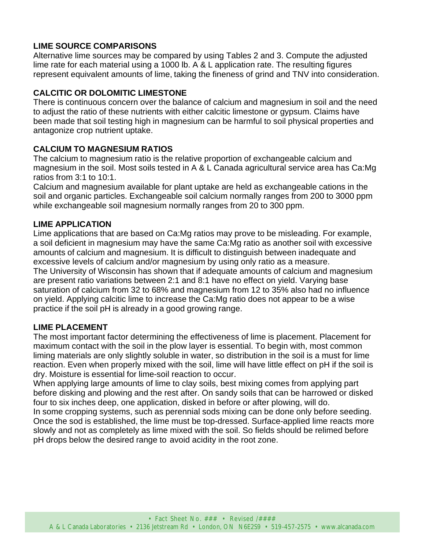# **LIME SOURCE COMPARISONS**

Alternative lime sources may be compared by using Tables 2 and 3. Compute the adjusted lime rate for each material using a 1000 lb. A & L application rate. The resulting figures represent equivalent amounts of lime, taking the fineness of grind and TNV into consideration.

#### **CALCITIC OR DOLOMITIC LIMESTONE**

There is continuous concern over the balance of calcium and magnesium in soil and the need to adjust the ratio of these nutrients with either calcitic limestone or gypsum. Claims have been made that soil testing high in magnesium can be harmful to soil physical properties and antagonize crop nutrient uptake.

#### **CALCIUM TO MAGNESIUM RATIOS**

The calcium to magnesium ratio is the relative proportion of exchangeable calcium and magnesium in the soil. Most soils tested in A & L Canada agricultural service area has Ca:Mg ratios from 3:1 to 10:1.

Calcium and magnesium available for plant uptake are held as exchangeable cations in the soil and organic particles. Exchangeable soil calcium normally ranges from 200 to 3000 ppm while exchangeable soil magnesium normally ranges from 20 to 300 ppm.

#### **LIME APPLICATION**

Lime applications that are based on Ca:Mg ratios may prove to be misleading. For example, a soil deficient in magnesium may have the same Ca:Mg ratio as another soil with excessive amounts of calcium and magnesium. It is difficult to distinguish between inadequate and excessive levels of calcium and/or magnesium by using only ratio as a measure. The University of Wisconsin has shown that if adequate amounts of calcium and magnesium are present ratio variations between 2:1 and 8:1 have no effect on yield. Varying base saturation of calcium from 32 to 68% and magnesium from 12 to 35% also had no influence on yield. Applying calcitic lime to increase the Ca:Mg ratio does not appear to be a wise practice if the soil pH is already in a good growing range.

#### **LIME PLACEMENT**

The most important factor determining the effectiveness of lime is placement. Placement for maximum contact with the soil in the plow layer is essential. To begin with, most common liming materials are only slightly soluble in water, so distribution in the soil is a must for lime reaction. Even when properly mixed with the soil, lime will have little effect on pH if the soil is dry. Moisture is essential for lime-soil reaction to occur.

When applying large amounts of lime to clay soils, best mixing comes from applying part before disking and plowing and the rest after. On sandy soils that can be harrowed or disked four to six inches deep, one application, disked in before or after plowing, will do.

In some cropping systems, such as perennial sods mixing can be done only before seeding. Once the sod is established, the lime must be top-dressed. Surface-applied lime reacts more slowly and not as completely as lime mixed with the soil. So fields should be relimed before pH drops below the desired range to avoid acidity in the root zone.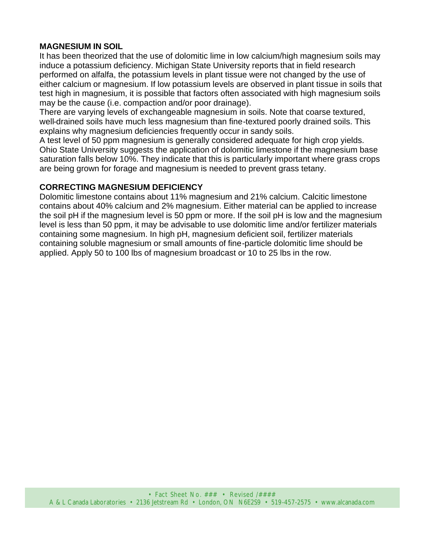#### **MAGNESIUM IN SOIL**

It has been theorized that the use of dolomitic lime in low calcium/high magnesium soils may induce a potassium deficiency. Michigan State University reports that in field research performed on alfalfa, the potassium levels in plant tissue were not changed by the use of either calcium or magnesium. If low potassium levels are observed in plant tissue in soils that test high in magnesium, it is possible that factors often associated with high magnesium soils may be the cause (i.e. compaction and/or poor drainage).

There are varying levels of exchangeable magnesium in soils. Note that coarse textured, well-drained soils have much less magnesium than fine-textured poorly drained soils. This explains why magnesium deficiencies frequently occur in sandy soils.

A test level of 50 ppm magnesium is generally considered adequate for high crop yields. Ohio State University suggests the application of dolomitic limestone if the magnesium base saturation falls below 10%. They indicate that this is particularly important where grass crops are being grown for forage and magnesium is needed to prevent grass tetany.

#### **CORRECTING MAGNESIUM DEFICIENCY**

Dolomitic limestone contains about 11% magnesium and 21% calcium. Calcitic limestone contains about 40% calcium and 2% magnesium. Either material can be applied to increase the soil pH if the magnesium level is 50 ppm or more. If the soil pH is low and the magnesium level is less than 50 ppm, it may be advisable to use dolomitic lime and/or fertilizer materials containing some magnesium. In high pH, magnesium deficient soil, fertilizer materials containing soluble magnesium or small amounts of fine-particle dolomitic lime should be applied. Apply 50 to 100 lbs of magnesium broadcast or 10 to 25 lbs in the row.